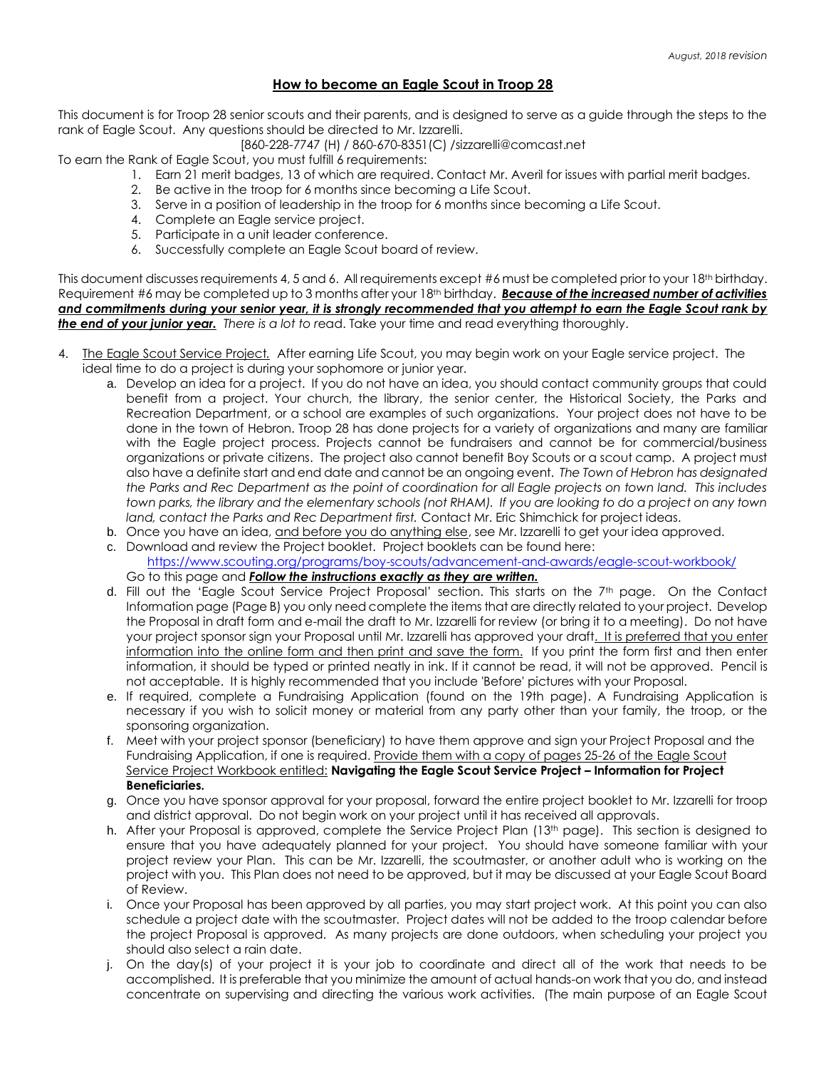## **How to become an Eagle Scout in Troop 28**

This document is for Troop 28 senior scouts and their parents, and is designed to serve as a guide through the steps to the rank of Eagle Scout. Any questions should be directed to Mr. Izzarelli.

[860-228-7747 (H) / 860-670-8351(C) /sizzarelli@comcast.net

To earn the Rank of Eagle Scout, you must fulfill 6 requirements:

- 1. Earn 21 merit badges, 13 of which are required. Contact Mr. Averil for issues with partial merit badges.
- 2. Be active in the troop for 6 months since becoming a Life Scout.
- 3. Serve in a position of leadership in the troop for 6 months since becoming a Life Scout.
- 4. Complete an Eagle service project.
- 5. Participate in a unit leader conference.
- 6. Successfully complete an Eagle Scout board of review.

This document discusses requirements 4, 5 and 6. All requirements except #6 must be completed prior to your 18<sup>th</sup> birthday. Requirement #6 may be completed up to 3 months after your 18th birthday. *Because of the increased number of activities and commitments during your senior year, it is strongly recommended that you attempt to earn the Eagle Scout rank by the end of your junior year. There is a lot to r*ead. Take your time and read everything thoroughly.

- 4. The Eagle Scout Service Project*.* After earning Life Scout, you may begin work on your Eagle service project. The ideal time to do a project is during your sophomore or junior year.
	- a. Develop an idea for a project. If you do not have an idea, you should contact community groups that could benefit from a project. Your church, the library, the senior center, the Historical Society, the Parks and Recreation Department, or a school are examples of such organizations. Your project does not have to be done in the town of Hebron. Troop 28 has done projects for a variety of organizations and many are familiar with the Eagle project process. Projects cannot be fundraisers and cannot be for commercial/business organizations or private citizens. The project also cannot benefit Boy Scouts or a scout camp. A project must also have a definite start and end date and cannot be an ongoing event. *The Town of Hebron has designated the Parks and Rec Department as the point of coordination for all Eagle projects on town land. This includes town parks, the library and the elementary schools (not RHAM). If you are looking to do a project on any town land, contact the Parks and Rec Department first.* Contact Mr. Eric Shimchick for project ideas.
	- b. Once you have an idea, and before you do anything else, see Mr. Izzarelli to get your idea approved.
	- c. Download and review the Project booklet. Project booklets can be found here: <https://www.scouting.org/programs/boy-scouts/advancement-and-awards/eagle-scout-workbook/> Go to this page and *Follow the instructions exactly as they are written.*
	- d. Fill out the 'Eagle Scout Service Project Proposal' section. This starts on the 7th page. On the Contact Information page (Page B) you only need complete the items that are directly related to your project. Develop the Proposal in draft form and e-mail the draft to Mr. Izzarelli for review (or bring it to a meeting). Do not have your project sponsor sign your Proposal until Mr. Izzarelli has approved your draft. It is preferred that you enter information into the online form and then print and save the form. If you print the form first and then enter information, it should be typed or printed neatly in ink. If it cannot be read, it will not be approved. Pencil is not acceptable. It is highly recommended that you include 'Before' pictures with your Proposal.
	- e. If required, complete a Fundraising Application (found on the 19th page). A Fundraising Application is necessary if you wish to solicit money or material from any party other than your family, the troop, or the sponsoring organization.
	- f. Meet with your project sponsor (beneficiary) to have them approve and sign your Project Proposal and the Fundraising Application, if one is required. Provide them with a copy of pages 25-26 of the Eagle Scout Service Project Workbook entitled: **Navigating the Eagle Scout Service Project – Information for Project Beneficiaries.**
	- g. Once you have sponsor approval for your proposal, forward the entire project booklet to Mr. Izzarelli for troop and district approval. Do not begin work on your project until it has received all approvals.
	- h. After your Proposal is approved, complete the Service Project Plan (13th page). This section is designed to ensure that you have adequately planned for your project. You should have someone familiar with your project review your Plan. This can be Mr. Izzarelli, the scoutmaster, or another adult who is working on the project with you. This Plan does not need to be approved, but it may be discussed at your Eagle Scout Board of Review.
	- i. Once your Proposal has been approved by all parties, you may start project work. At this point you can also schedule a project date with the scoutmaster. Project dates will not be added to the troop calendar before the project Proposal is approved. As many projects are done outdoors, when scheduling your project you should also select a rain date.
	- j. On the day(s) of your project it is your job to coordinate and direct all of the work that needs to be accomplished. It is preferable that you minimize the amount of actual hands-on work that you do, and instead concentrate on supervising and directing the various work activities. (The main purpose of an Eagle Scout